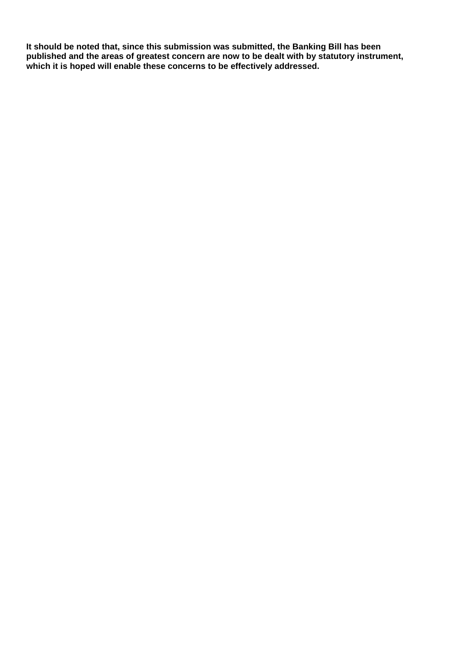**It should be noted that, since this submission was submitted, the Banking Bill has been published and the areas of greatest concern are now to be dealt with by statutory instrument, which it is hoped will enable these concerns to be effectively addressed.**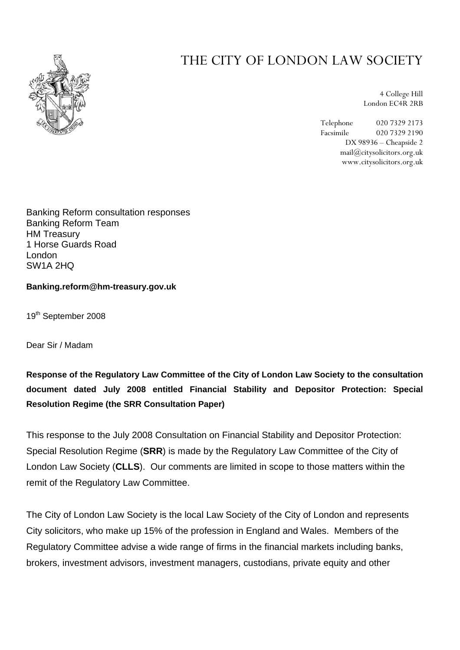

# THE CITY OF LONDON LAW SOCIETY

4 College Hill London EC4R 2RB

Telephone 020 7329 2173 Facsimile 020 7329 2190 DX 98936 – Cheapside 2 mail@citysolicitors.org.uk www.citysolicitors.org.uk

Banking Reform consultation responses Banking Reform Team HM Treasury 1 Horse Guards Road London SW1A 2HQ

**Banking.reform@hm-treasury.gov.uk** 

19<sup>th</sup> September 2008

Dear Sir / Madam

**Response of the Regulatory Law Committee of the City of London Law Society to the consultation document dated July 2008 entitled Financial Stability and Depositor Protection: Special Resolution Regime (the SRR Consultation Paper)** 

This response to the July 2008 Consultation on Financial Stability and Depositor Protection: Special Resolution Regime (**SRR**) is made by the Regulatory Law Committee of the City of London Law Society (**CLLS**). Our comments are limited in scope to those matters within the remit of the Regulatory Law Committee.

The City of London Law Society is the local Law Society of the City of London and represents City solicitors, who make up 15% of the profession in England and Wales. Members of the Regulatory Committee advise a wide range of firms in the financial markets including banks, brokers, investment advisors, investment managers, custodians, private equity and other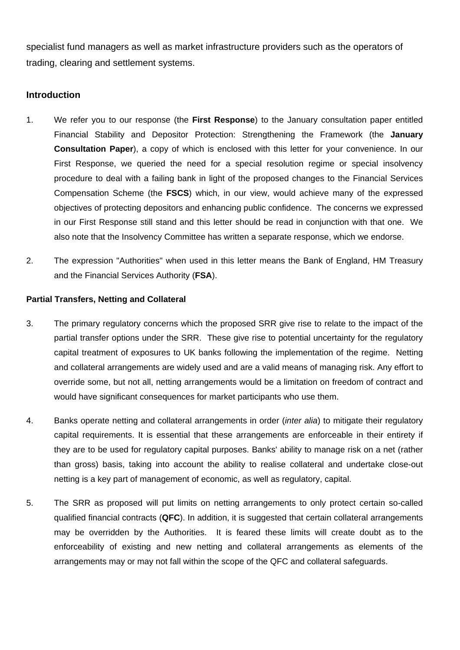specialist fund managers as well as market infrastructure providers such as the operators of trading, clearing and settlement systems.

# **Introduction**

- 1. We refer you to our response (the **First Response**) to the January consultation paper entitled Financial Stability and Depositor Protection: Strengthening the Framework (the **January Consultation Paper**), a copy of which is enclosed with this letter for your convenience. In our First Response, we queried the need for a special resolution regime or special insolvency procedure to deal with a failing bank in light of the proposed changes to the Financial Services Compensation Scheme (the **FSCS**) which, in our view, would achieve many of the expressed objectives of protecting depositors and enhancing public confidence. The concerns we expressed in our First Response still stand and this letter should be read in conjunction with that one. We also note that the Insolvency Committee has written a separate response, which we endorse.
- 2. The expression "Authorities" when used in this letter means the Bank of England, HM Treasury and the Financial Services Authority (**FSA**).

# **Partial Transfers, Netting and Collateral**

- 3. The primary regulatory concerns which the proposed SRR give rise to relate to the impact of the partial transfer options under the SRR. These give rise to potential uncertainty for the regulatory capital treatment of exposures to UK banks following the implementation of the regime. Netting and collateral arrangements are widely used and are a valid means of managing risk. Any effort to override some, but not all, netting arrangements would be a limitation on freedom of contract and would have significant consequences for market participants who use them.
- 4. Banks operate netting and collateral arrangements in order (*inter alia*) to mitigate their regulatory capital requirements. It is essential that these arrangements are enforceable in their entirety if they are to be used for regulatory capital purposes. Banks' ability to manage risk on a net (rather than gross) basis, taking into account the ability to realise collateral and undertake close-out netting is a key part of management of economic, as well as regulatory, capital.
- 5. The SRR as proposed will put limits on netting arrangements to only protect certain so-called qualified financial contracts (**QFC**). In addition, it is suggested that certain collateral arrangements may be overridden by the Authorities. It is feared these limits will create doubt as to the enforceability of existing and new netting and collateral arrangements as elements of the arrangements may or may not fall within the scope of the QFC and collateral safeguards.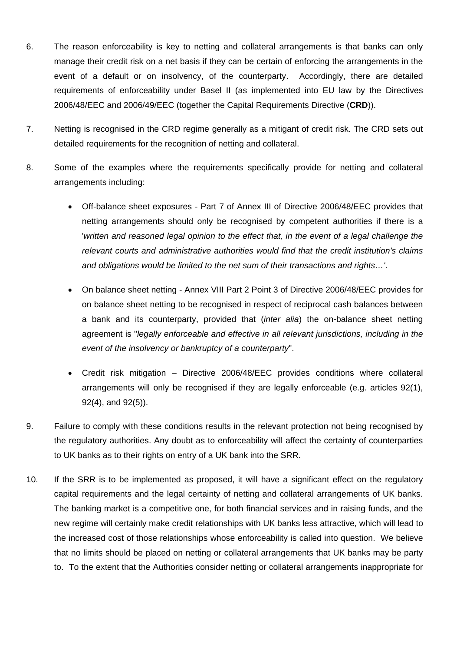- 6. The reason enforceability is key to netting and collateral arrangements is that banks can only manage their credit risk on a net basis if they can be certain of enforcing the arrangements in the event of a default or on insolvency, of the counterparty. Accordingly, there are detailed requirements of enforceability under Basel II (as implemented into EU law by the Directives 2006/48/EEC and 2006/49/EEC (together the Capital Requirements Directive (**CRD**)).
- 7. Netting is recognised in the CRD regime generally as a mitigant of credit risk. The CRD sets out detailed requirements for the recognition of netting and collateral.
- 8. Some of the examples where the requirements specifically provide for netting and collateral arrangements including:
	- Off-balance sheet exposures Part 7 of Annex III of Directive 2006/48/EEC provides that netting arrangements should only be recognised by competent authorities if there is a *'written and reasoned legal opinion to the effect that, in the event of a legal challenge the relevant courts and administrative authorities would find that the credit institution's claims and obligations would be limited to the net sum of their transactions and rights…'*.
	- On balance sheet netting Annex VIII Part 2 Point 3 of Directive 2006/48/EEC provides for on balance sheet netting to be recognised in respect of reciprocal cash balances between a bank and its counterparty, provided that (*inter alia*) the on-balance sheet netting agreement is "*legally enforceable and effective in all relevant jurisdictions, including in the event of the insolvency or bankruptcy of a counterparty*".
	- Credit risk mitigation Directive 2006/48/EEC provides conditions where collateral arrangements will only be recognised if they are legally enforceable (e.g. articles 92(1), 92(4), and 92(5)).
- 9. Failure to comply with these conditions results in the relevant protection not being recognised by the regulatory authorities. Any doubt as to enforceability will affect the certainty of counterparties to UK banks as to their rights on entry of a UK bank into the SRR.
- 10. If the SRR is to be implemented as proposed, it will have a significant effect on the regulatory capital requirements and the legal certainty of netting and collateral arrangements of UK banks. The banking market is a competitive one, for both financial services and in raising funds, and the new regime will certainly make credit relationships with UK banks less attractive, which will lead to the increased cost of those relationships whose enforceability is called into question. We believe that no limits should be placed on netting or collateral arrangements that UK banks may be party to. To the extent that the Authorities consider netting or collateral arrangements inappropriate for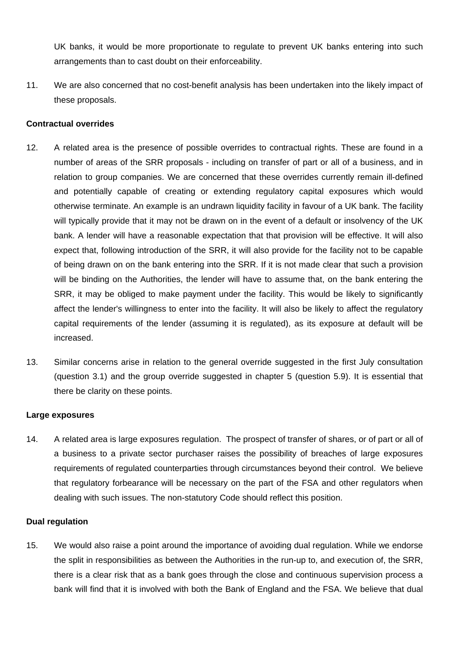UK banks, it would be more proportionate to regulate to prevent UK banks entering into such arrangements than to cast doubt on their enforceability.

11. We are also concerned that no cost-benefit analysis has been undertaken into the likely impact of these proposals.

## **Contractual overrides**

- 12. A related area is the presence of possible overrides to contractual rights. These are found in a number of areas of the SRR proposals - including on transfer of part or all of a business, and in relation to group companies. We are concerned that these overrides currently remain ill-defined and potentially capable of creating or extending regulatory capital exposures which would otherwise terminate. An example is an undrawn liquidity facility in favour of a UK bank. The facility will typically provide that it may not be drawn on in the event of a default or insolvency of the UK bank. A lender will have a reasonable expectation that that provision will be effective. It will also expect that, following introduction of the SRR, it will also provide for the facility not to be capable of being drawn on on the bank entering into the SRR. If it is not made clear that such a provision will be binding on the Authorities, the lender will have to assume that, on the bank entering the SRR, it may be obliged to make payment under the facility. This would be likely to significantly affect the lender's willingness to enter into the facility. It will also be likely to affect the regulatory capital requirements of the lender (assuming it is regulated), as its exposure at default will be increased.
- 13. Similar concerns arise in relation to the general override suggested in the first July consultation (question 3.1) and the group override suggested in chapter 5 (question 5.9). It is essential that there be clarity on these points.

#### **Large exposures**

14. A related area is large exposures regulation. The prospect of transfer of shares, or of part or all of a business to a private sector purchaser raises the possibility of breaches of large exposures requirements of regulated counterparties through circumstances beyond their control. We believe that regulatory forbearance will be necessary on the part of the FSA and other regulators when dealing with such issues. The non-statutory Code should reflect this position.

#### **Dual regulation**

15. We would also raise a point around the importance of avoiding dual regulation. While we endorse the split in responsibilities as between the Authorities in the run-up to, and execution of, the SRR, there is a clear risk that as a bank goes through the close and continuous supervision process a bank will find that it is involved with both the Bank of England and the FSA. We believe that dual